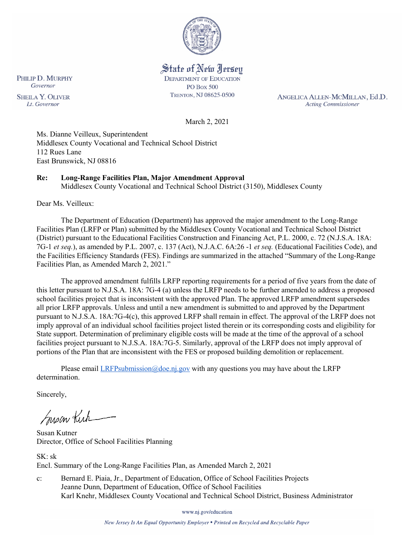

State of New Jersey **DEPARTMENT OF EDUCATION PO Box 500** TRENTON, NJ 08625-0500

ANGELICA ALLEN-MCMILLAN, Ed.D. **Acting Commissioner** 

March 2, 2021

Ms. Dianne Veilleux, Superintendent Middlesex County Vocational and Technical School District 112 Rues Lane East Brunswick, NJ 08816

## **Re: Long-Range Facilities Plan, Major Amendment Approval**

Middlesex County Vocational and Technical School District (3150), Middlesex County

Dear Ms. Veilleux:

The Department of Education (Department) has approved the major amendment to the Long-Range Facilities Plan (LRFP or Plan) submitted by the Middlesex County Vocational and Technical School District (District) pursuant to the Educational Facilities Construction and Financing Act, P.L. 2000, c. 72 (N.J.S.A. 18A: 7G-1 *et seq.*), as amended by P.L. 2007, c. 137 (Act), N.J.A.C. 6A:26 -1 *et seq.* (Educational Facilities Code), and the Facilities Efficiency Standards (FES). Findings are summarized in the attached "Summary of the Long-Range Facilities Plan, as Amended March 2, 2021."

The approved amendment fulfills LRFP reporting requirements for a period of five years from the date of this letter pursuant to N.J.S.A. 18A: 7G-4 (a) unless the LRFP needs to be further amended to address a proposed school facilities project that is inconsistent with the approved Plan. The approved LRFP amendment supersedes all prior LRFP approvals. Unless and until a new amendment is submitted to and approved by the Department pursuant to N.J.S.A. 18A:7G-4(c), this approved LRFP shall remain in effect. The approval of the LRFP does not imply approval of an individual school facilities project listed therein or its corresponding costs and eligibility for State support. Determination of preliminary eligible costs will be made at the time of the approval of a school facilities project pursuant to N.J.S.A. 18A:7G-5. Similarly, approval of the LRFP does not imply approval of portions of the Plan that are inconsistent with the FES or proposed building demolition or replacement.

Please email *LRFPsubmission@doe.nj.gov* with any questions you may have about the LRFP determination.

Sincerely,

Susan Kich

Susan Kutner Director, Office of School Facilities Planning

SK: sk Encl. Summary of the Long-Range Facilities Plan, as Amended March 2, 2021

c: Bernard E. Piaia, Jr., Department of Education, Office of School Facilities Projects Jeanne Dunn, Department of Education, Office of School Facilities Karl Knehr, Middlesex County Vocational and Technical School District, Business Administrator

www.nj.gov/education

New Jersey Is An Equal Opportunity Employer . Printed on Recycled and Recyclable Paper

PHILIP D. MURPHY Governor **SHEILA Y. OLIVER** Lt. Governor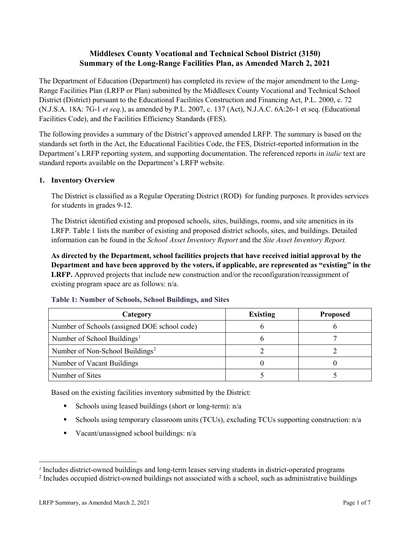# **Middlesex County Vocational and Technical School District (3150) Summary of the Long-Range Facilities Plan, as Amended March 2, 2021**

The Department of Education (Department) has completed its review of the major amendment to the Long-Range Facilities Plan (LRFP or Plan) submitted by the Middlesex County Vocational and Technical School District (District) pursuant to the Educational Facilities Construction and Financing Act, P.L. 2000, c. 72 (N.J.S.A. 18A: 7G-1 *et seq.*), as amended by P.L. 2007, c. 137 (Act), N.J.A.C. 6A:26-1 et seq. (Educational Facilities Code), and the Facilities Efficiency Standards (FES).

The following provides a summary of the District's approved amended LRFP. The summary is based on the standards set forth in the Act, the Educational Facilities Code, the FES, District-reported information in the Department's LRFP reporting system, and supporting documentation. The referenced reports in *italic* text are standard reports available on the Department's LRFP website.

### **1. Inventory Overview**

The District is classified as a Regular Operating District (ROD) for funding purposes. It provides services for students in grades 9-12.

The District identified existing and proposed schools, sites, buildings, rooms, and site amenities in its LRFP. Table 1 lists the number of existing and proposed district schools, sites, and buildings. Detailed information can be found in the *School Asset Inventory Report* and the *Site Asset Inventory Report.*

**As directed by the Department, school facilities projects that have received initial approval by the Department and have been approved by the voters, if applicable, are represented as "existing" in the LRFP.** Approved projects that include new construction and/or the reconfiguration/reassignment of existing program space are as follows: n/a.

| Category                                     | <b>Existing</b> | <b>Proposed</b> |
|----------------------------------------------|-----------------|-----------------|
| Number of Schools (assigned DOE school code) |                 |                 |
| Number of School Buildings <sup>1</sup>      |                 |                 |
| Number of Non-School Buildings <sup>2</sup>  |                 |                 |
| Number of Vacant Buildings                   |                 |                 |
| Number of Sites                              |                 |                 |

#### **Table 1: Number of Schools, School Buildings, and Sites**

Based on the existing facilities inventory submitted by the District:

- Schools using leased buildings (short or long-term):  $n/a$
- Schools using temporary classroom units (TCUs), excluding TCUs supporting construction: n/a
- Vacant/unassigned school buildings:  $n/a$

 $\overline{a}$ 

<span id="page-1-1"></span><span id="page-1-0"></span>*<sup>1</sup>* Includes district-owned buildings and long-term leases serving students in district-operated programs

<sup>&</sup>lt;sup>2</sup> Includes occupied district-owned buildings not associated with a school, such as administrative buildings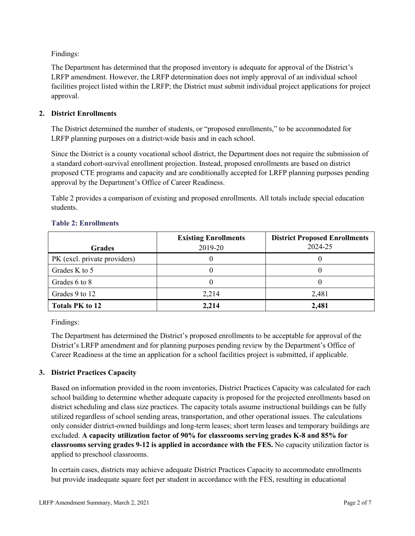Findings:

The Department has determined that the proposed inventory is adequate for approval of the District's LRFP amendment. However, the LRFP determination does not imply approval of an individual school facilities project listed within the LRFP; the District must submit individual project applications for project approval.

### **2. District Enrollments**

The District determined the number of students, or "proposed enrollments," to be accommodated for LRFP planning purposes on a district-wide basis and in each school.

Since the District is a county vocational school district, the Department does not require the submission of a standard cohort-survival enrollment projection. Instead, proposed enrollments are based on district proposed CTE programs and capacity and are conditionally accepted for LRFP planning purposes pending approval by the Department's Office of Career Readiness.

Table 2 provides a comparison of existing and proposed enrollments. All totals include special education students.

| <b>Grades</b>                | <b>Existing Enrollments</b><br>2019-20 | <b>District Proposed Enrollments</b><br>2024-25 |
|------------------------------|----------------------------------------|-------------------------------------------------|
|                              |                                        |                                                 |
| PK (excl. private providers) |                                        |                                                 |
| Grades K to 5                |                                        |                                                 |
| Grades 6 to 8                |                                        |                                                 |
| Grades 9 to 12               | 2,214                                  | 2,481                                           |
| <b>Totals PK to 12</b>       | 2,214                                  | 2,481                                           |

#### **Table 2: Enrollments**

Findings:

The Department has determined the District's proposed enrollments to be acceptable for approval of the District's LRFP amendment and for planning purposes pending review by the Department's Office of Career Readiness at the time an application for a school facilities project is submitted, if applicable.

### **3. District Practices Capacity**

Based on information provided in the room inventories, District Practices Capacity was calculated for each school building to determine whether adequate capacity is proposed for the projected enrollments based on district scheduling and class size practices. The capacity totals assume instructional buildings can be fully utilized regardless of school sending areas, transportation, and other operational issues. The calculations only consider district-owned buildings and long-term leases; short term leases and temporary buildings are excluded. **A capacity utilization factor of 90% for classrooms serving grades K-8 and 85% for classrooms serving grades 9-12 is applied in accordance with the FES.** No capacity utilization factor is applied to preschool classrooms.

In certain cases, districts may achieve adequate District Practices Capacity to accommodate enrollments but provide inadequate square feet per student in accordance with the FES, resulting in educational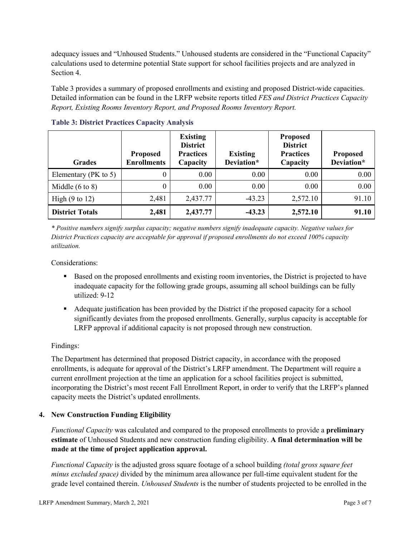adequacy issues and "Unhoused Students." Unhoused students are considered in the "Functional Capacity" calculations used to determine potential State support for school facilities projects and are analyzed in Section 4.

Table 3 provides a summary of proposed enrollments and existing and proposed District-wide capacities. Detailed information can be found in the LRFP website reports titled *FES and District Practices Capacity Report, Existing Rooms Inventory Report, and Proposed Rooms Inventory Report.*

| <b>Grades</b>              | <b>Proposed</b><br><b>Enrollments</b> | <b>Existing</b><br><b>District</b><br><b>Practices</b><br>Capacity | <b>Existing</b><br>Deviation* | <b>Proposed</b><br><b>District</b><br><b>Practices</b><br>Capacity | <b>Proposed</b><br>Deviation* |
|----------------------------|---------------------------------------|--------------------------------------------------------------------|-------------------------------|--------------------------------------------------------------------|-------------------------------|
| Elementary ( $PK$ to 5)    | 0                                     | 0.00                                                               | 0.00                          | 0.00                                                               | 0.00                          |
| Middle $(6 \text{ to } 8)$ | 0                                     | 0.00                                                               | 0.00                          | 0.00                                                               | 0.00                          |
| High $(9 \text{ to } 12)$  | 2,481                                 | 2,437.77                                                           | $-43.23$                      | 2,572.10                                                           | 91.10                         |
| <b>District Totals</b>     | 2,481                                 | 2,437.77                                                           | $-43.23$                      | 2,572.10                                                           | 91.10                         |

**Table 3: District Practices Capacity Analysis**

*\* Positive numbers signify surplus capacity; negative numbers signify inadequate capacity. Negative values for District Practices capacity are acceptable for approval if proposed enrollments do not exceed 100% capacity utilization.*

Considerations:

- Based on the proposed enrollments and existing room inventories, the District is projected to have inadequate capacity for the following grade groups, assuming all school buildings can be fully utilized: 9-12
- Adequate justification has been provided by the District if the proposed capacity for a school significantly deviates from the proposed enrollments. Generally, surplus capacity is acceptable for LRFP approval if additional capacity is not proposed through new construction.

### Findings:

The Department has determined that proposed District capacity, in accordance with the proposed enrollments, is adequate for approval of the District's LRFP amendment. The Department will require a current enrollment projection at the time an application for a school facilities project is submitted, incorporating the District's most recent Fall Enrollment Report, in order to verify that the LRFP's planned capacity meets the District's updated enrollments.

#### **4. New Construction Funding Eligibility**

*Functional Capacity* was calculated and compared to the proposed enrollments to provide a **preliminary estimate** of Unhoused Students and new construction funding eligibility. **A final determination will be made at the time of project application approval.**

*Functional Capacity* is the adjusted gross square footage of a school building *(total gross square feet minus excluded space)* divided by the minimum area allowance per full-time equivalent student for the grade level contained therein. *Unhoused Students* is the number of students projected to be enrolled in the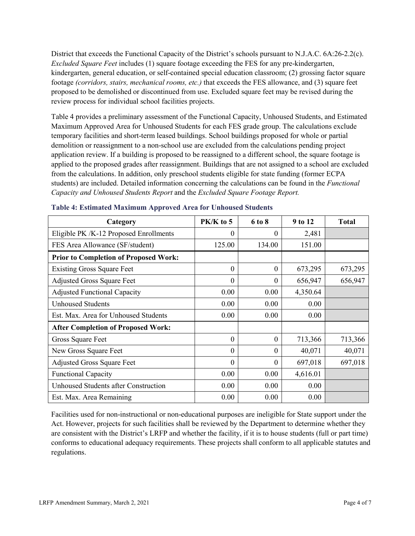District that exceeds the Functional Capacity of the District's schools pursuant to N.J.A.C. 6A:26-2.2(c). *Excluded Square Feet* includes (1) square footage exceeding the FES for any pre-kindergarten, kindergarten, general education, or self-contained special education classroom; (2) grossing factor square footage *(corridors, stairs, mechanical rooms, etc.)* that exceeds the FES allowance, and (3) square feet proposed to be demolished or discontinued from use. Excluded square feet may be revised during the review process for individual school facilities projects.

Table 4 provides a preliminary assessment of the Functional Capacity, Unhoused Students, and Estimated Maximum Approved Area for Unhoused Students for each FES grade group. The calculations exclude temporary facilities and short-term leased buildings. School buildings proposed for whole or partial demolition or reassignment to a non-school use are excluded from the calculations pending project application review. If a building is proposed to be reassigned to a different school, the square footage is applied to the proposed grades after reassignment. Buildings that are not assigned to a school are excluded from the calculations. In addition, only preschool students eligible for state funding (former ECPA students) are included. Detailed information concerning the calculations can be found in the *Functional Capacity and Unhoused Students Report* and the *Excluded Square Footage Report.*

| Category                                     | PK/K to 5 | 6 to 8   | 9 to 12  | <b>Total</b> |
|----------------------------------------------|-----------|----------|----------|--------------|
| Eligible PK /K-12 Proposed Enrollments       | 0         | 0        | 2,481    |              |
| FES Area Allowance (SF/student)              | 125.00    | 134.00   | 151.00   |              |
| <b>Prior to Completion of Proposed Work:</b> |           |          |          |              |
| <b>Existing Gross Square Feet</b>            | $\theta$  | $\theta$ | 673,295  | 673,295      |
| <b>Adjusted Gross Square Feet</b>            | $\theta$  | $\theta$ | 656,947  | 656,947      |
| <b>Adjusted Functional Capacity</b>          | 0.00      | 0.00     | 4,350.64 |              |
| <b>Unhoused Students</b>                     | 0.00      | 0.00     | 0.00     |              |
| Est. Max. Area for Unhoused Students         | 0.00      | 0.00     | 0.00     |              |
| <b>After Completion of Proposed Work:</b>    |           |          |          |              |
| Gross Square Feet                            | $\theta$  | $\theta$ | 713,366  | 713,366      |
| New Gross Square Feet                        | $\theta$  | $\theta$ | 40,071   | 40,071       |
| <b>Adjusted Gross Square Feet</b>            | $\theta$  | $\theta$ | 697,018  | 697,018      |
| <b>Functional Capacity</b>                   | 0.00      | 0.00     | 4,616.01 |              |
| <b>Unhoused Students after Construction</b>  | 0.00      | 0.00     | 0.00     |              |
| Est. Max. Area Remaining                     | 0.00      | 0.00     | 0.00     |              |

#### **Table 4: Estimated Maximum Approved Area for Unhoused Students**

Facilities used for non-instructional or non-educational purposes are ineligible for State support under the Act. However, projects for such facilities shall be reviewed by the Department to determine whether they are consistent with the District's LRFP and whether the facility, if it is to house students (full or part time) conforms to educational adequacy requirements. These projects shall conform to all applicable statutes and regulations.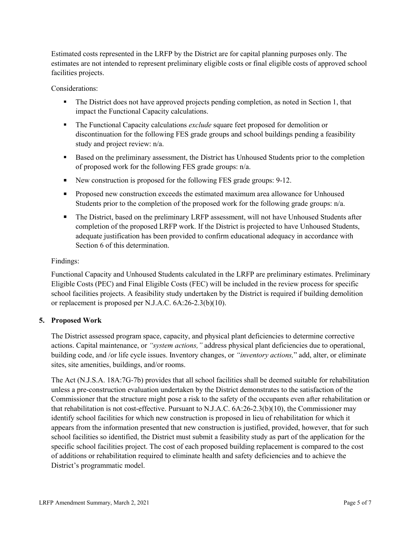Estimated costs represented in the LRFP by the District are for capital planning purposes only. The estimates are not intended to represent preliminary eligible costs or final eligible costs of approved school facilities projects.

Considerations:

- The District does not have approved projects pending completion, as noted in Section 1, that impact the Functional Capacity calculations.
- The Functional Capacity calculations *exclude* square feet proposed for demolition or discontinuation for the following FES grade groups and school buildings pending a feasibility study and project review: n/a.
- Based on the preliminary assessment, the District has Unhoused Students prior to the completion of proposed work for the following FES grade groups: n/a.
- New construction is proposed for the following FES grade groups: 9-12.
- **Proposed new construction exceeds the estimated maximum area allowance for Unhoused** Students prior to the completion of the proposed work for the following grade groups: n/a.
- The District, based on the preliminary LRFP assessment, will not have Unhoused Students after completion of the proposed LRFP work. If the District is projected to have Unhoused Students, adequate justification has been provided to confirm educational adequacy in accordance with Section 6 of this determination.

### Findings:

Functional Capacity and Unhoused Students calculated in the LRFP are preliminary estimates. Preliminary Eligible Costs (PEC) and Final Eligible Costs (FEC) will be included in the review process for specific school facilities projects. A feasibility study undertaken by the District is required if building demolition or replacement is proposed per N.J.A.C. 6A:26-2.3(b)(10).

### **5. Proposed Work**

The District assessed program space, capacity, and physical plant deficiencies to determine corrective actions. Capital maintenance, or *"system actions,"* address physical plant deficiencies due to operational, building code, and /or life cycle issues. Inventory changes, or *"inventory actions,*" add, alter, or eliminate sites, site amenities, buildings, and/or rooms.

The Act (N.J.S.A. 18A:7G-7b) provides that all school facilities shall be deemed suitable for rehabilitation unless a pre-construction evaluation undertaken by the District demonstrates to the satisfaction of the Commissioner that the structure might pose a risk to the safety of the occupants even after rehabilitation or that rehabilitation is not cost-effective. Pursuant to N.J.A.C. 6A:26-2.3(b)(10), the Commissioner may identify school facilities for which new construction is proposed in lieu of rehabilitation for which it appears from the information presented that new construction is justified, provided, however, that for such school facilities so identified, the District must submit a feasibility study as part of the application for the specific school facilities project. The cost of each proposed building replacement is compared to the cost of additions or rehabilitation required to eliminate health and safety deficiencies and to achieve the District's programmatic model.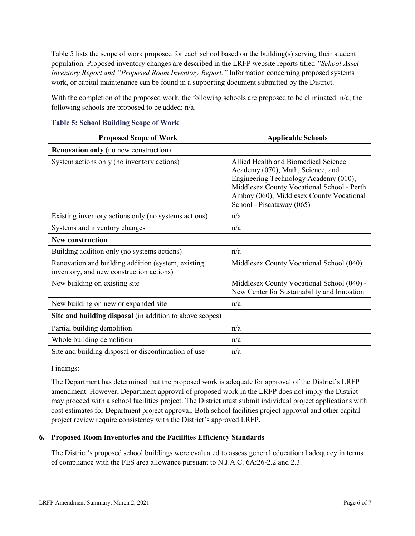Table 5 lists the scope of work proposed for each school based on the building(s) serving their student population. Proposed inventory changes are described in the LRFP website reports titled *"School Asset Inventory Report and "Proposed Room Inventory Report."* Information concerning proposed systems work, or capital maintenance can be found in a supporting document submitted by the District.

With the completion of the proposed work, the following schools are proposed to be eliminated: n/a; the following schools are proposed to be added: n/a.

| <b>Proposed Scope of Work</b>                                                                  | <b>Applicable Schools</b>                                                                                                                                                                                                                 |
|------------------------------------------------------------------------------------------------|-------------------------------------------------------------------------------------------------------------------------------------------------------------------------------------------------------------------------------------------|
| <b>Renovation only</b> (no new construction)                                                   |                                                                                                                                                                                                                                           |
| System actions only (no inventory actions)                                                     | Allied Health and Biomedical Science<br>Academy (070), Math, Science, and<br>Engineering Technology Academy (010),<br>Middlesex County Vocational School - Perth<br>Amboy (060), Middlesex County Vocational<br>School - Piscataway (065) |
| Existing inventory actions only (no systems actions)                                           | n/a                                                                                                                                                                                                                                       |
| Systems and inventory changes                                                                  | n/a                                                                                                                                                                                                                                       |
| <b>New construction</b>                                                                        |                                                                                                                                                                                                                                           |
| Building addition only (no systems actions)                                                    | n/a                                                                                                                                                                                                                                       |
| Renovation and building addition (system, existing<br>inventory, and new construction actions) | Middlesex County Vocational School (040)                                                                                                                                                                                                  |
| New building on existing site                                                                  | Middlesex County Vocational School (040) -<br>New Center for Sustainability and Innoation                                                                                                                                                 |
| New building on new or expanded site                                                           | n/a                                                                                                                                                                                                                                       |
| Site and building disposal (in addition to above scopes)                                       |                                                                                                                                                                                                                                           |
| Partial building demolition                                                                    | n/a                                                                                                                                                                                                                                       |
| Whole building demolition                                                                      | n/a                                                                                                                                                                                                                                       |
| Site and building disposal or discontinuation of use                                           | n/a                                                                                                                                                                                                                                       |

| <b>Table 5: School Building Scope of Work</b> |  |  |  |  |  |  |
|-----------------------------------------------|--|--|--|--|--|--|
|-----------------------------------------------|--|--|--|--|--|--|

Findings:

The Department has determined that the proposed work is adequate for approval of the District's LRFP amendment. However, Department approval of proposed work in the LRFP does not imply the District may proceed with a school facilities project. The District must submit individual project applications with cost estimates for Department project approval. Both school facilities project approval and other capital project review require consistency with the District's approved LRFP.

### **6. Proposed Room Inventories and the Facilities Efficiency Standards**

The District's proposed school buildings were evaluated to assess general educational adequacy in terms of compliance with the FES area allowance pursuant to N.J.A.C. 6A:26-2.2 and 2.3.